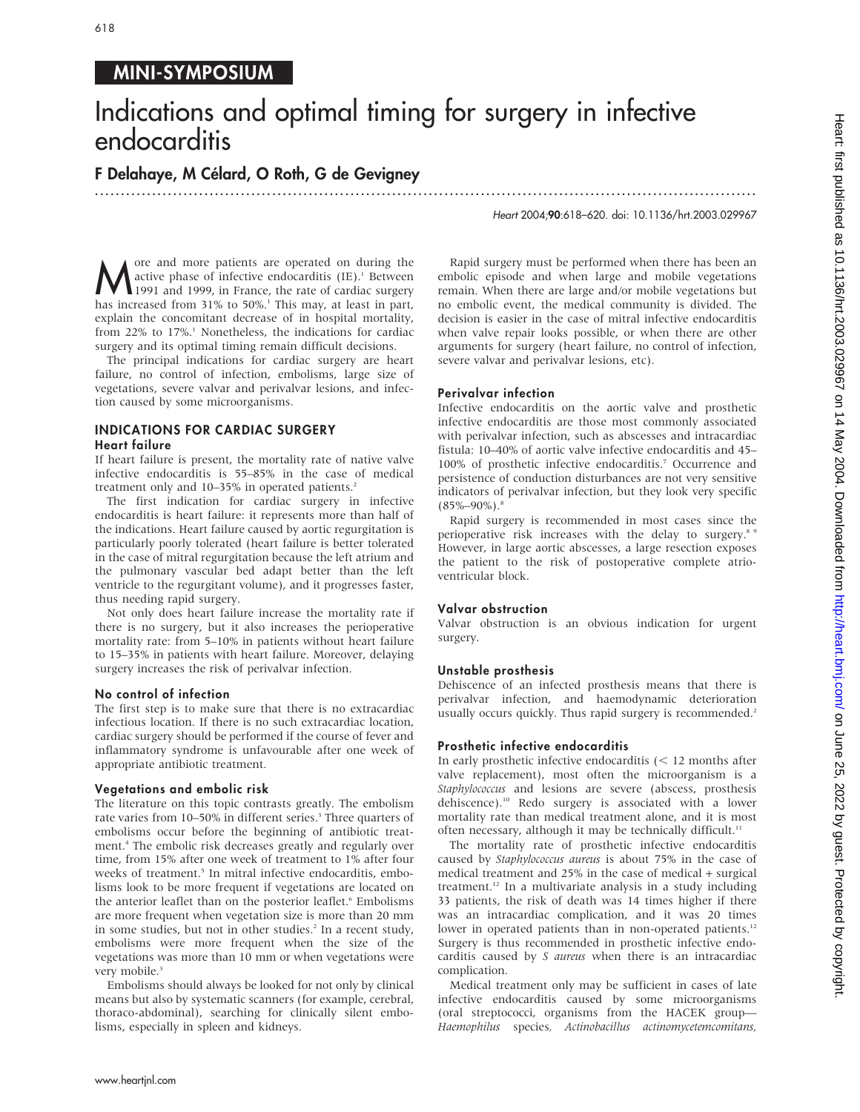# 618

## MINI-SYMPOSIUM

# Indications and optimal timing for surgery in infective endocarditis

...............................................................................................................................

F Delahaye, M Célard, O Roth, G de Gevigney

Heart 2004;90:618–620. doi: 10.1136/hrt.2003.029967

More and more patients are operated on during the<br>
1991 and 1999, in France, the rate of cardiac surgery<br>
has increased from  $31\%$  to  $50\%$ <sup>1</sup>. This may at least in part active phase of infective endocarditis  $(IE)^1$ . Between has increased from 31% to 50%.<sup>1</sup> This may, at least in part, explain the concomitant decrease of in hospital mortality, from 22% to 17%.<sup>1</sup> Nonetheless, the indications for cardiac surgery and its optimal timing remain difficult decisions.

The principal indications for cardiac surgery are heart failure, no control of infection, embolisms, large size of vegetations, severe valvar and perivalvar lesions, and infection caused by some microorganisms.

### INDICATIONS FOR CARDIAC SURGERY Heart failure

If heart failure is present, the mortality rate of native valve infective endocarditis is 55–85% in the case of medical treatment only and 10-35% in operated patients.<sup>2</sup>

The first indication for cardiac surgery in infective endocarditis is heart failure: it represents more than half of the indications. Heart failure caused by aortic regurgitation is particularly poorly tolerated (heart failure is better tolerated in the case of mitral regurgitation because the left atrium and the pulmonary vascular bed adapt better than the left ventricle to the regurgitant volume), and it progresses faster, thus needing rapid surgery.

Not only does heart failure increase the mortality rate if there is no surgery, but it also increases the perioperative mortality rate: from 5–10% in patients without heart failure to 15–35% in patients with heart failure. Moreover, delaying surgery increases the risk of perivalvar infection.

#### No control of infection

The first step is to make sure that there is no extracardiac infectious location. If there is no such extracardiac location, cardiac surgery should be performed if the course of fever and inflammatory syndrome is unfavourable after one week of appropriate antibiotic treatment.

#### Vegetations and embolic risk

The literature on this topic contrasts greatly. The embolism rate varies from 10–50% in different series.<sup>3</sup> Three quarters of embolisms occur before the beginning of antibiotic treatment.<sup>4</sup> The embolic risk decreases greatly and regularly over time, from 15% after one week of treatment to 1% after four weeks of treatment.<sup>5</sup> In mitral infective endocarditis, embolisms look to be more frequent if vegetations are located on the anterior leaflet than on the posterior leaflet.<sup>6</sup> Embolisms are more frequent when vegetation size is more than 20 mm in some studies, but not in other studies.<sup>2</sup> In a recent study, embolisms were more frequent when the size of the vegetations was more than 10 mm or when vegetations were very mobile.<sup>3</sup>

Embolisms should always be looked for not only by clinical means but also by systematic scanners (for example, cerebral, thoraco-abdominal), searching for clinically silent embolisms, especially in spleen and kidneys.

Rapid surgery must be performed when there has been an embolic episode and when large and mobile vegetations remain. When there are large and/or mobile vegetations but no embolic event, the medical community is divided. The decision is easier in the case of mitral infective endocarditis when valve repair looks possible, or when there are other arguments for surgery (heart failure, no control of infection, severe valvar and perivalvar lesions, etc).

#### Perivalvar infection

Infective endocarditis on the aortic valve and prosthetic infective endocarditis are those most commonly associated with perivalvar infection, such as abscesses and intracardiac fistula: 10–40% of aortic valve infective endocarditis and 45– 100% of prosthetic infective endocarditis.7 Occurrence and persistence of conduction disturbances are not very sensitive indicators of perivalvar infection, but they look very specific  $(85\% - 90\%)$ .<sup>8</sup>

Rapid surgery is recommended in most cases since the perioperative risk increases with the delay to surgery.<sup>8 9</sup> However, in large aortic abscesses, a large resection exposes the patient to the risk of postoperative complete atrioventricular block.

#### Valvar obstruction

Valvar obstruction is an obvious indication for urgent surgery.

#### Unstable prosthesis

Dehiscence of an infected prosthesis means that there is perivalvar infection, and haemodynamic deterioration usually occurs quickly. Thus rapid surgery is recommended.<sup>2</sup>

#### Prosthetic infective endocarditis

In early prosthetic infective endocarditis  $\langle \leq 12 \text{ months after} \rangle$ valve replacement), most often the microorganism is a Staphylococcus and lesions are severe (abscess, prosthesis dehiscence).<sup>10</sup> Redo surgery is associated with a lower mortality rate than medical treatment alone, and it is most often necessary, although it may be technically difficult.<sup>11</sup>

The mortality rate of prosthetic infective endocarditis caused by Staphylococcus aureus is about 75% in the case of medical treatment and 25% in the case of medical + surgical treatment.12 In a multivariate analysis in a study including 33 patients, the risk of death was 14 times higher if there was an intracardiac complication, and it was 20 times lower in operated patients than in non-operated patients.<sup>12</sup> Surgery is thus recommended in prosthetic infective endocarditis caused by S aureus when there is an intracardiac complication.

Medical treatment only may be sufficient in cases of late infective endocarditis caused by some microorganisms (oral streptococci, organisms from the HACEK group— Haemophilus species, Actinobacillus actinomycetemcomitans,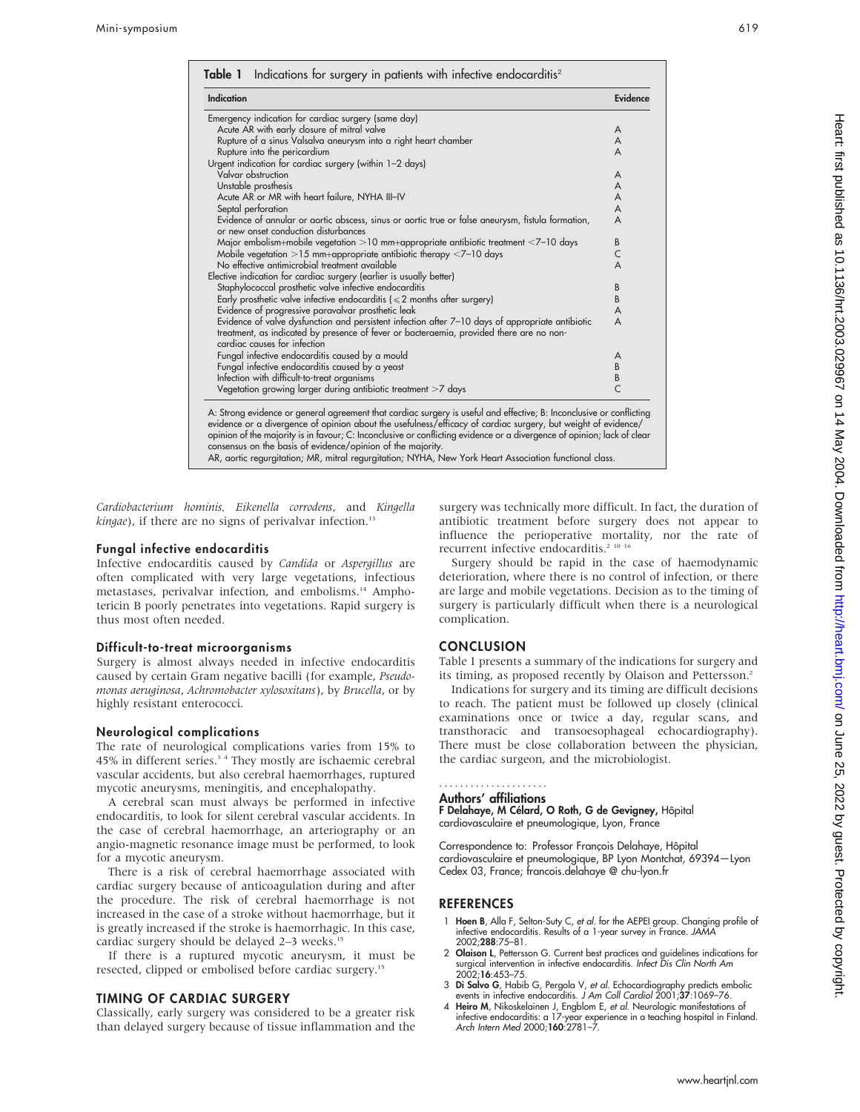| <b>Indication</b>                                                                                                                                                                                                                                                                                                                                                                                                                                                                                                                         | Evidence       |
|-------------------------------------------------------------------------------------------------------------------------------------------------------------------------------------------------------------------------------------------------------------------------------------------------------------------------------------------------------------------------------------------------------------------------------------------------------------------------------------------------------------------------------------------|----------------|
| Emergency indication for cardiac surgery (same day)                                                                                                                                                                                                                                                                                                                                                                                                                                                                                       |                |
| Acute AR with early closure of mitral valve                                                                                                                                                                                                                                                                                                                                                                                                                                                                                               | A              |
| Rupture of a sinus Valsalva aneurysm into a right heart chamber                                                                                                                                                                                                                                                                                                                                                                                                                                                                           | A              |
| Rupture into the pericardium                                                                                                                                                                                                                                                                                                                                                                                                                                                                                                              | A              |
| Urgent indication for cardiac surgery (within 1-2 days)                                                                                                                                                                                                                                                                                                                                                                                                                                                                                   |                |
| Valvar obstruction                                                                                                                                                                                                                                                                                                                                                                                                                                                                                                                        | A              |
| Unstable prosthesis                                                                                                                                                                                                                                                                                                                                                                                                                                                                                                                       | A              |
| Acute AR or MR with heart failure, NYHA III-IV                                                                                                                                                                                                                                                                                                                                                                                                                                                                                            | A              |
| Septal perforation                                                                                                                                                                                                                                                                                                                                                                                                                                                                                                                        | A              |
| Evidence of annular or aortic abscess, sinus or aortic true or false aneurysm, fistula formation,<br>or new onset conduction disturbances                                                                                                                                                                                                                                                                                                                                                                                                 | A              |
| Major embolism+mobile vegetation >10 mm+appropriate antibiotic treatment $\leq$ 7–10 days                                                                                                                                                                                                                                                                                                                                                                                                                                                 | B              |
| Mobile vegetation $>15$ mm+appropriate antibiotic therapy $<$ 7-10 days                                                                                                                                                                                                                                                                                                                                                                                                                                                                   | C              |
| No effective antimicrobial treatment available                                                                                                                                                                                                                                                                                                                                                                                                                                                                                            | A              |
| Elective indication for cardiac surgery (earlier is usually better)                                                                                                                                                                                                                                                                                                                                                                                                                                                                       |                |
| Staphylococcal prosthetic valve infective endocarditis                                                                                                                                                                                                                                                                                                                                                                                                                                                                                    | B              |
| Early prosthetic valve infective endocarditis ( $\leq 2$ months after surgery)                                                                                                                                                                                                                                                                                                                                                                                                                                                            | B              |
| Evidence of progressive paravalvar prosthetic leak                                                                                                                                                                                                                                                                                                                                                                                                                                                                                        | A              |
| Evidence of valve dysfunction and persistent infection after 7-10 days of appropriate antibiotic<br>treatment, as indicated by presence of fever or bacteraemia, provided there are no non-<br>cardiac causes for infection                                                                                                                                                                                                                                                                                                               | A              |
| Fungal infective endocarditis caused by a mould                                                                                                                                                                                                                                                                                                                                                                                                                                                                                           | A              |
| Fungal infective endocarditis caused by a yeast                                                                                                                                                                                                                                                                                                                                                                                                                                                                                           | B              |
| Infection with difficult-to-treat organisms                                                                                                                                                                                                                                                                                                                                                                                                                                                                                               | B              |
| Vegetation growing larger during antibiotic treatment >7 days                                                                                                                                                                                                                                                                                                                                                                                                                                                                             | $\overline{C}$ |
| A: Strong evidence or general agreement that cardiac surgery is useful and effective; B: Inconclusive or conflicting<br>evidence or a divergence of opinion about the usefulness/efficacy of cardiac surgery, but weight of evidence/<br>opinion of the majority is in favour; C: Inconclusive or conflicting evidence or a divergence of opinion; lack of clear<br>consensus on the basis of evidence/opinion of the majority.<br>AR, aortic regurgitation; MR, mitral regurgitation; NYHA, New York Heart Association functional class. |                |

Cardiobacterium hominis, Eikenella corrodens, and Kingella  $kingae$ ), if there are no signs of perivalvar infection.<sup>13</sup>

#### Fungal infective endocarditis

Infective endocarditis caused by Candida or Aspergillus are often complicated with very large vegetations, infectious metastases, perivalvar infection, and embolisms.14 Amphotericin B poorly penetrates into vegetations. Rapid surgery is thus most often needed.

#### Difficult-to-treat microorganisms

Surgery is almost always needed in infective endocarditis caused by certain Gram negative bacilli (for example, Pseudomonas aeruginosa, Achromobacter xylosoxitans), by Brucella, or by highly resistant enterococci.

#### Neurological complications

The rate of neurological complications varies from 15% to 45% in different series.<sup>34</sup> They mostly are ischaemic cerebral vascular accidents, but also cerebral haemorrhages, ruptured mycotic aneurysms, meningitis, and encephalopathy.

A cerebral scan must always be performed in infective endocarditis, to look for silent cerebral vascular accidents. In the case of cerebral haemorrhage, an arteriography or an angio-magnetic resonance image must be performed, to look for a mycotic aneurysm.

There is a risk of cerebral haemorrhage associated with cardiac surgery because of anticoagulation during and after the procedure. The risk of cerebral haemorrhage is not increased in the case of a stroke without haemorrhage, but it is greatly increased if the stroke is haemorrhagic. In this case, cardiac surgery should be delayed 2-3 weeks.<sup>15</sup>

If there is a ruptured mycotic aneurysm, it must be resected, clipped or embolised before cardiac surgery.15

#### TIMING OF CARDIAC SURGERY

Classically, early surgery was considered to be a greater risk than delayed surgery because of tissue inflammation and the surgery was technically more difficult. In fact, the duration of antibiotic treatment before surgery does not appear to influence the perioperative mortality, nor the rate of recurrent infective endocarditis.<sup>2 10 16</sup>

Surgery should be rapid in the case of haemodynamic deterioration, where there is no control of infection, or there are large and mobile vegetations. Decision as to the timing of surgery is particularly difficult when there is a neurological complication.

#### **CONCLUSION**

Table 1 presents a summary of the indications for surgery and its timing, as proposed recently by Olaison and Pettersson.<sup>2</sup>

Indications for surgery and its timing are difficult decisions to reach. The patient must be followed up closely (clinical examinations once or twice a day, regular scans, and transthoracic and transoesophageal echocardiography). There must be close collaboration between the physician, the cardiac surgeon, and the microbiologist.

#### Authors' affiliations .....................

F Delahaye, M Célard, O Roth, G de Gevigney, Hôpital cardiovasculaire et pneumologique, Lyon, France

Correspondence to: Professor François Delahaye, Hôpital cardiovasculaire et pneumologique, BP Lyon Montchat, 69394—Lyon Cedex 03, France; francois.delahaye @ chu-lyon.fr

#### **REFERENCES**

- 1 Hoen B, Alla F, Selton-Suty C, et al. for the AEPEI group. Changing profile of infective endocarditis. Results of a 1-year survey in France. JAMA 2002;288:75–81.
- 2 Olaison L, Pettersson G. Current best practices and quidelines indications for surgical intervention in infective endocarditis. Infect Dis Clin North Am 2002;16:453–75.
- 3 Di Salvo G, Habib G, Pergola V, et al. Echocardiography predicts embolic events in infective endocarditis. J Am Coll Cardiol 2001;37:1069–76.
- 4 Heiro M, Nikoskelainen J, Engblom E, *et al.* Neurologic manifestations of<br>infective endocarditis: a 17-year experience in a teaching hospital in Finland.<br>Arch Intern Med 2000;1**60**:2781–7.